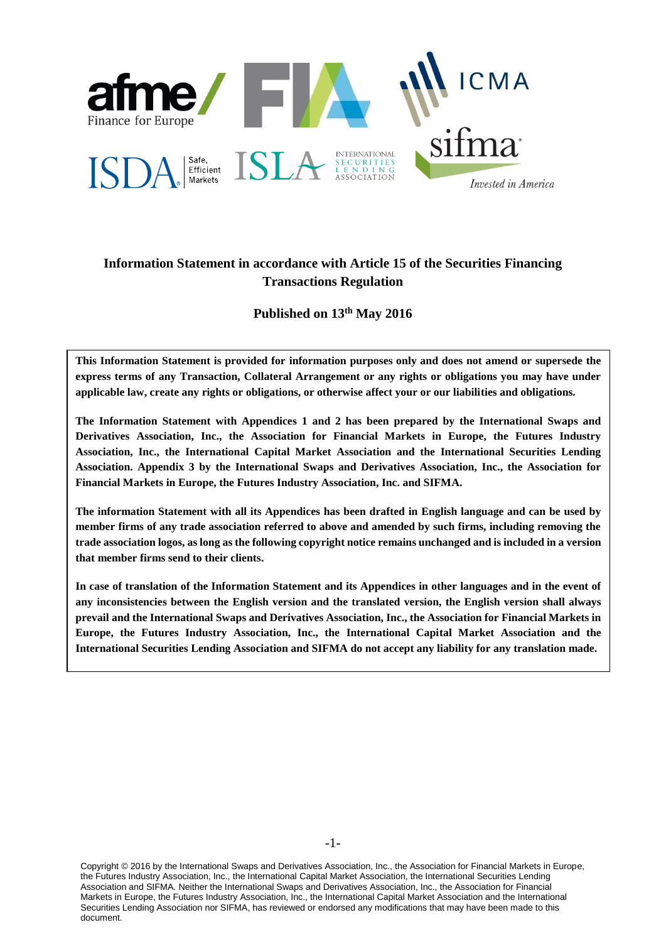

# **Information Statement in accordance with Article 15 of the Securities Financing Transactions Regulation**

**Published on 13th May 2016**

**This Information Statement is provided for information purposes only and does not amend or supersede the express terms of any Transaction, Collateral Arrangement or any rights or obligations you may have under applicable law, create any rights or obligations, or otherwise affect your or our liabilities and obligations.**

**The Information Statement with Appendices 1 and 2 has been prepared by the International Swaps and Derivatives Association, Inc., the Association for Financial Markets in Europe, the Futures Industry Association, Inc., the International Capital Market Association and the International Securities Lending Association. Appendix 3 by the International Swaps and Derivatives Association, Inc., the Association for Financial Markets in Europe, the Futures Industry Association, Inc. and SIFMA.**

**The information Statement with all its Appendices has been drafted in English language and can be used by member firms of any trade association referred to above and amended by such firms, including removing the trade association logos, as long as the following copyright notice remains unchanged and is included in a version that member firms send to their clients.**

**In case of translation of the Information Statement and its Appendices in other languages and in the event of any inconsistencies between the English version and the translated version, the English version shall always prevail and the International Swaps and Derivatives Association, Inc., the Association for Financial Markets in Europe, the Futures Industry Association, Inc., the International Capital Market Association and the International Securities Lending Association and SIFMA do not accept any liability for any translation made.**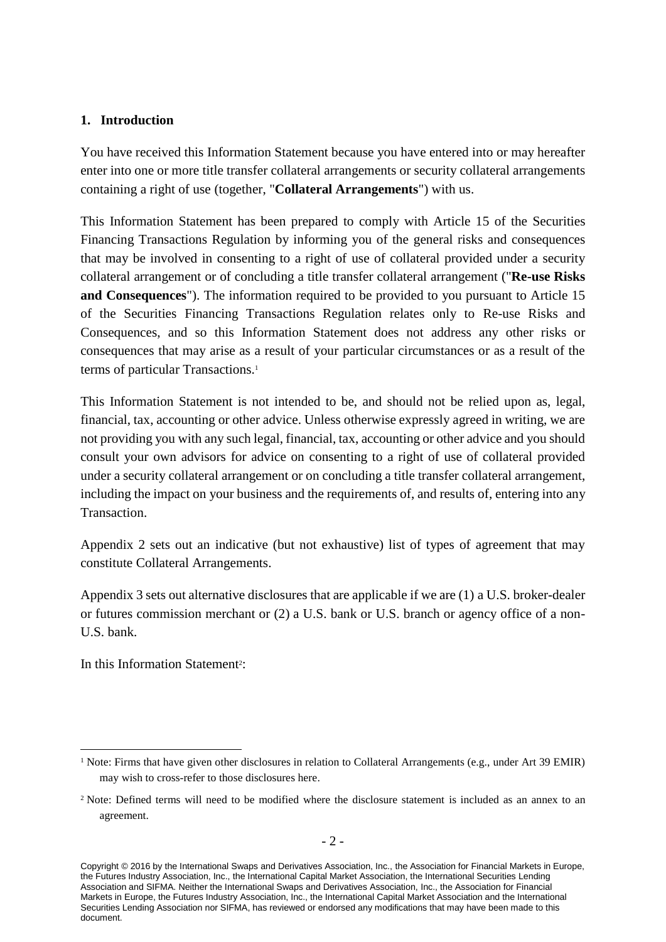### **1. Introduction**

You have received this Information Statement because you have entered into or may hereafter enter into one or more title transfer collateral arrangements or security collateral arrangements containing a right of use (together, "**Collateral Arrangements**") with us.

This Information Statement has been prepared to comply with Article 15 of the Securities Financing Transactions Regulation by informing you of the general risks and consequences that may be involved in consenting to a right of use of collateral provided under a security collateral arrangement or of concluding a title transfer collateral arrangement ("**Re-use Risks and Consequences**"). The information required to be provided to you pursuant to Article 15 of the Securities Financing Transactions Regulation relates only to Re-use Risks and Consequences, and so this Information Statement does not address any other risks or consequences that may arise as a result of your particular circumstances or as a result of the terms of particular Transactions. 1

This Information Statement is not intended to be, and should not be relied upon as, legal, financial, tax, accounting or other advice. Unless otherwise expressly agreed in writing, we are not providing you with any such legal, financial, tax, accounting or other advice and you should consult your own advisors for advice on consenting to a right of use of collateral provided under a security collateral arrangement or on concluding a title transfer collateral arrangement, including the impact on your business and the requirements of, and results of, entering into any Transaction.

Appendix 2 sets out an indicative (but not exhaustive) list of types of agreement that may constitute Collateral Arrangements.

Appendix 3 sets out alternative disclosures that are applicable if we are (1) a U.S. broker-dealer or futures commission merchant or (2) a U.S. bank or U.S. branch or agency office of a non-U.S. bank.

In this Information Statement<sup>2</sup>:

1

<sup>&</sup>lt;sup>1</sup> Note: Firms that have given other disclosures in relation to Collateral Arrangements (e.g., under Art 39 EMIR) may wish to cross-refer to those disclosures here.

<sup>&</sup>lt;sup>2</sup> Note: Defined terms will need to be modified where the disclosure statement is included as an annex to an agreement.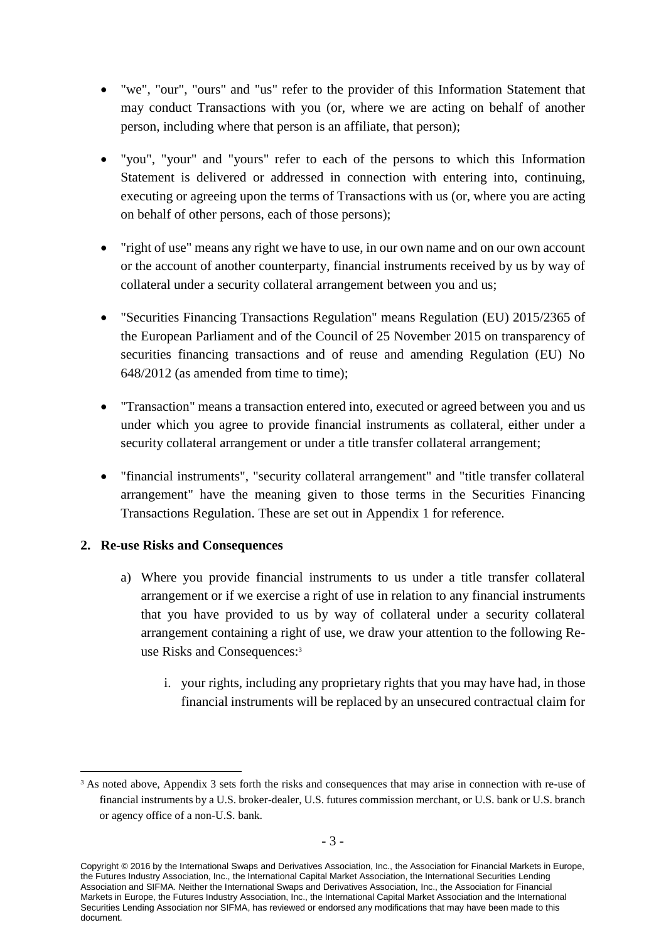- "we", "our", "ours" and "us" refer to the provider of this Information Statement that may conduct Transactions with you (or, where we are acting on behalf of another person, including where that person is an affiliate, that person);
- "you", "your" and "yours" refer to each of the persons to which this Information Statement is delivered or addressed in connection with entering into, continuing, executing or agreeing upon the terms of Transactions with us (or, where you are acting on behalf of other persons, each of those persons);
- "right of use" means any right we have to use, in our own name and on our own account or the account of another counterparty, financial instruments received by us by way of collateral under a security collateral arrangement between you and us;
- "Securities Financing Transactions Regulation" means Regulation (EU) 2015/2365 of the European Parliament and of the Council of 25 November 2015 on transparency of securities financing transactions and of reuse and amending Regulation (EU) No 648/2012 (as amended from time to time);
- "Transaction" means a transaction entered into, executed or agreed between you and us under which you agree to provide financial instruments as collateral, either under a security collateral arrangement or under a title transfer collateral arrangement;
- "financial instruments", "security collateral arrangement" and "title transfer collateral arrangement" have the meaning given to those terms in the Securities Financing Transactions Regulation. These are set out in Appendix 1 for reference.

### **2. Re-use Risks and Consequences**

1

- a) Where you provide financial instruments to us under a title transfer collateral arrangement or if we exercise a right of use in relation to any financial instruments that you have provided to us by way of collateral under a security collateral arrangement containing a right of use, we draw your attention to the following Reuse Risks and Consequences: 3
	- i. your rights, including any proprietary rights that you may have had, in those financial instruments will be replaced by an unsecured contractual claim for

<sup>&</sup>lt;sup>3</sup> As noted above, Appendix 3 sets forth the risks and consequences that may arise in connection with re-use of financial instruments by a U.S. broker-dealer, U.S. futures commission merchant, or U.S. bank or U.S. branch or agency office of a non-U.S. bank.

Copyright © 2016 by the International Swaps and Derivatives Association, Inc., the Association for Financial Markets in Europe, the Futures Industry Association, Inc., the International Capital Market Association, the International Securities Lending Association and SIFMA. Neither the International Swaps and Derivatives Association, Inc., the Association for Financial Markets in Europe, the Futures Industry Association, Inc., the International Capital Market Association and the International Securities Lending Association nor SIFMA, has reviewed or endorsed any modifications that may have been made to this document.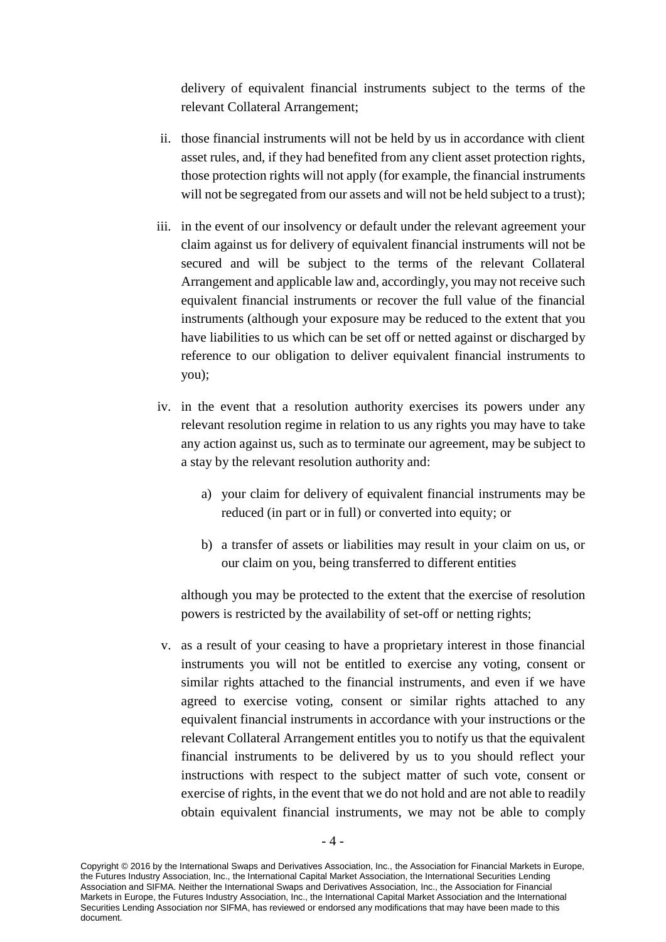delivery of equivalent financial instruments subject to the terms of the relevant Collateral Arrangement;

- ii. those financial instruments will not be held by us in accordance with client asset rules, and, if they had benefited from any client asset protection rights, those protection rights will not apply (for example, the financial instruments will not be segregated from our assets and will not be held subject to a trust);
- iii. in the event of our insolvency or default under the relevant agreement your claim against us for delivery of equivalent financial instruments will not be secured and will be subject to the terms of the relevant Collateral Arrangement and applicable law and, accordingly, you may not receive such equivalent financial instruments or recover the full value of the financial instruments (although your exposure may be reduced to the extent that you have liabilities to us which can be set off or netted against or discharged by reference to our obligation to deliver equivalent financial instruments to you);
- iv. in the event that a resolution authority exercises its powers under any relevant resolution regime in relation to us any rights you may have to take any action against us, such as to terminate our agreement, may be subject to a stay by the relevant resolution authority and:
	- a) your claim for delivery of equivalent financial instruments may be reduced (in part or in full) or converted into equity; or
	- b) a transfer of assets or liabilities may result in your claim on us, or our claim on you, being transferred to different entities

although you may be protected to the extent that the exercise of resolution powers is restricted by the availability of set-off or netting rights;

v. as a result of your ceasing to have a proprietary interest in those financial instruments you will not be entitled to exercise any voting, consent or similar rights attached to the financial instruments, and even if we have agreed to exercise voting, consent or similar rights attached to any equivalent financial instruments in accordance with your instructions or the relevant Collateral Arrangement entitles you to notify us that the equivalent financial instruments to be delivered by us to you should reflect your instructions with respect to the subject matter of such vote, consent or exercise of rights, in the event that we do not hold and are not able to readily obtain equivalent financial instruments, we may not be able to comply

Copyright © 2016 by the International Swaps and Derivatives Association, Inc., the Association for Financial Markets in Europe, the Futures Industry Association, Inc., the International Capital Market Association, the International Securities Lending Association and SIFMA. Neither the International Swaps and Derivatives Association, Inc., the Association for Financial Markets in Europe, the Futures Industry Association, Inc., the International Capital Market Association and the International Securities Lending Association nor SIFMA, has reviewed or endorsed any modifications that may have been made to this document.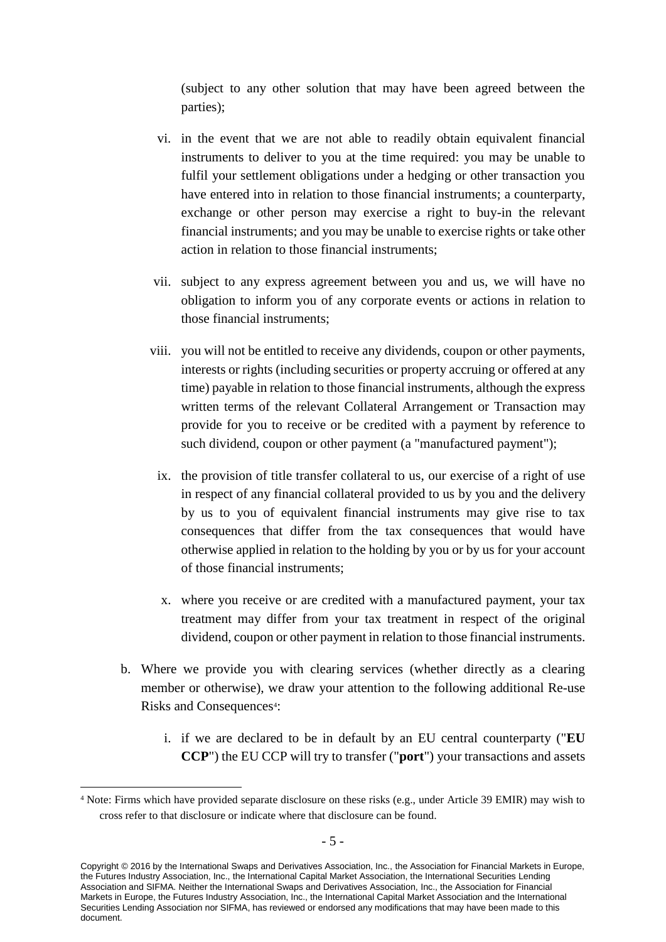(subject to any other solution that may have been agreed between the parties);

- vi. in the event that we are not able to readily obtain equivalent financial instruments to deliver to you at the time required: you may be unable to fulfil your settlement obligations under a hedging or other transaction you have entered into in relation to those financial instruments; a counterparty, exchange or other person may exercise a right to buy-in the relevant financial instruments; and you may be unable to exercise rights or take other action in relation to those financial instruments;
- vii. subject to any express agreement between you and us, we will have no obligation to inform you of any corporate events or actions in relation to those financial instruments;
- viii. you will not be entitled to receive any dividends, coupon or other payments, interests or rights (including securities or property accruing or offered at any time) payable in relation to those financial instruments, although the express written terms of the relevant Collateral Arrangement or Transaction may provide for you to receive or be credited with a payment by reference to such dividend, coupon or other payment (a "manufactured payment");
	- ix. the provision of title transfer collateral to us, our exercise of a right of use in respect of any financial collateral provided to us by you and the delivery by us to you of equivalent financial instruments may give rise to tax consequences that differ from the tax consequences that would have otherwise applied in relation to the holding by you or by us for your account of those financial instruments;
	- x. where you receive or are credited with a manufactured payment, your tax treatment may differ from your tax treatment in respect of the original dividend, coupon or other payment in relation to those financial instruments.
- b. Where we provide you with clearing services (whether directly as a clearing member or otherwise), we draw your attention to the following additional Re-use Risks and Consequences<sup>4</sup>:
	- i. if we are declared to be in default by an EU central counterparty ("**EU CCP**") the EU CCP will try to transfer ("**port**") your transactions and assets

<u>.</u>

<sup>4</sup> Note: Firms which have provided separate disclosure on these risks (e.g., under Article 39 EMIR) may wish to cross refer to that disclosure or indicate where that disclosure can be found.

Copyright © 2016 by the International Swaps and Derivatives Association, Inc., the Association for Financial Markets in Europe, the Futures Industry Association, Inc., the International Capital Market Association, the International Securities Lending Association and SIFMA. Neither the International Swaps and Derivatives Association, Inc., the Association for Financial Markets in Europe, the Futures Industry Association, Inc., the International Capital Market Association and the International Securities Lending Association nor SIFMA, has reviewed or endorsed any modifications that may have been made to this document.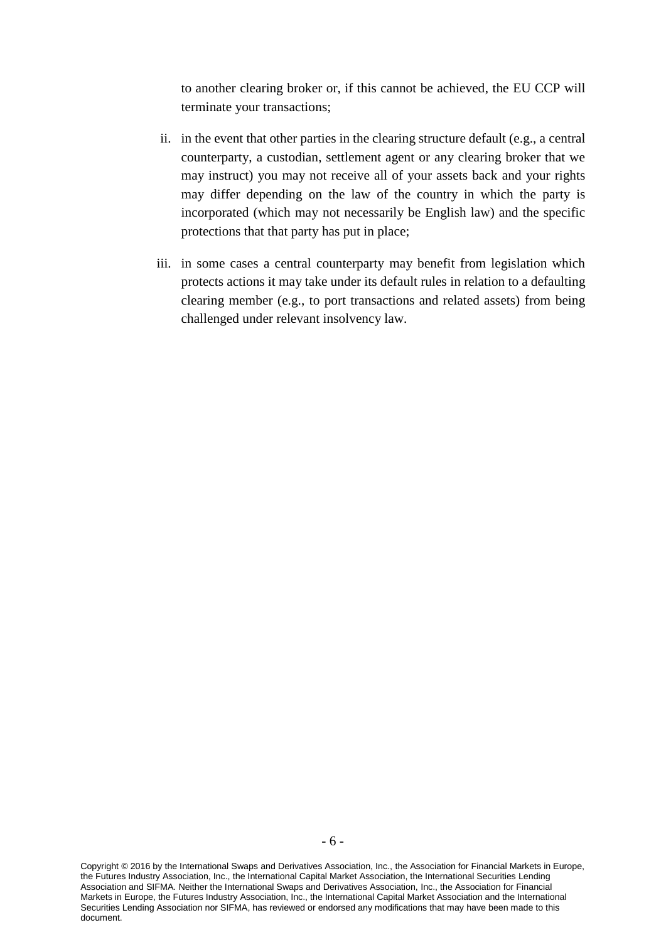to another clearing broker or, if this cannot be achieved, the EU CCP will terminate your transactions;

- ii. in the event that other parties in the clearing structure default (e.g., a central counterparty, a custodian, settlement agent or any clearing broker that we may instruct) you may not receive all of your assets back and your rights may differ depending on the law of the country in which the party is incorporated (which may not necessarily be English law) and the specific protections that that party has put in place;
- iii. in some cases a central counterparty may benefit from legislation which protects actions it may take under its default rules in relation to a defaulting clearing member (e.g., to port transactions and related assets) from being challenged under relevant insolvency law.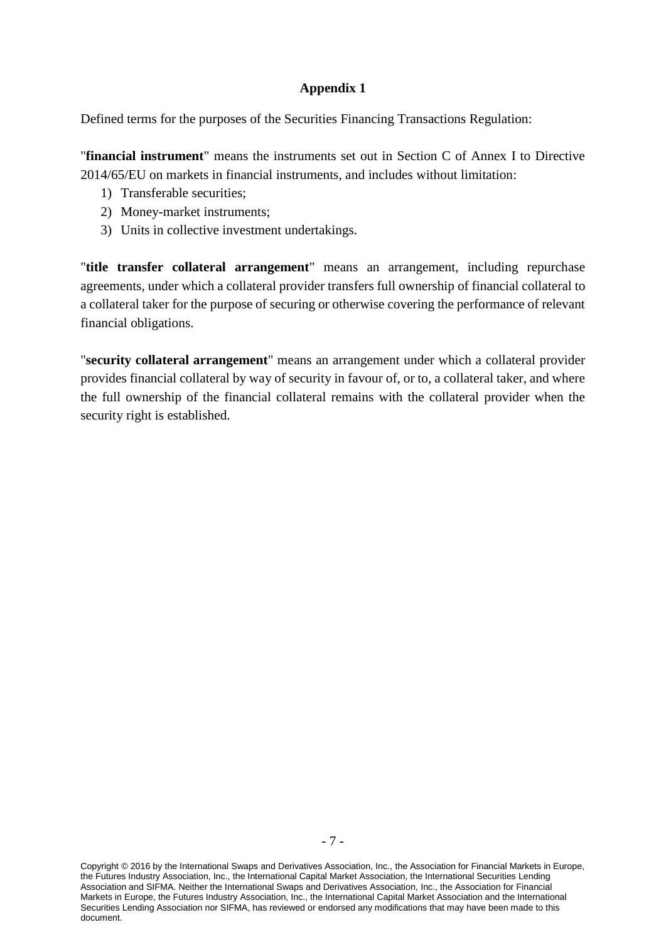## **Appendix 1**

Defined terms for the purposes of the Securities Financing Transactions Regulation:

"**financial instrument**" means the instruments set out in Section C of Annex I to Directive 2014/65/EU on markets in financial instruments, and includes without limitation:

- 1) Transferable securities;
- 2) Money-market instruments;
- 3) Units in collective investment undertakings.

"**title transfer collateral arrangement**" means an arrangement, including repurchase agreements, under which a collateral provider transfers full ownership of financial collateral to a collateral taker for the purpose of securing or otherwise covering the performance of relevant financial obligations.

"**security collateral arrangement**" means an arrangement under which a collateral provider provides financial collateral by way of security in favour of, or to, a collateral taker, and where the full ownership of the financial collateral remains with the collateral provider when the security right is established.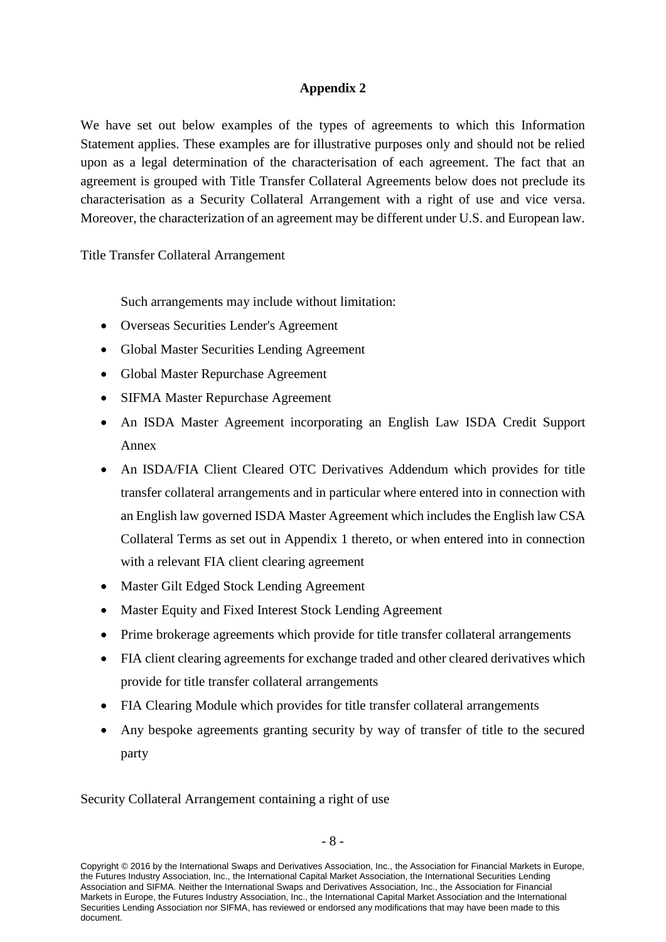# **Appendix 2**

We have set out below examples of the types of agreements to which this Information Statement applies. These examples are for illustrative purposes only and should not be relied upon as a legal determination of the characterisation of each agreement. The fact that an agreement is grouped with Title Transfer Collateral Agreements below does not preclude its characterisation as a Security Collateral Arrangement with a right of use and vice versa. Moreover, the characterization of an agreement may be different under U.S. and European law.

Title Transfer Collateral Arrangement

Such arrangements may include without limitation:

- Overseas Securities Lender's Agreement
- Global Master Securities Lending Agreement
- Global Master Repurchase Agreement
- SIFMA Master Repurchase Agreement
- An ISDA Master Agreement incorporating an English Law ISDA Credit Support Annex
- An ISDA/FIA Client Cleared OTC Derivatives Addendum which provides for title transfer collateral arrangements and in particular where entered into in connection with an English law governed ISDA Master Agreement which includes the English law CSA Collateral Terms as set out in Appendix 1 thereto, or when entered into in connection with a relevant FIA client clearing agreement
- Master Gilt Edged Stock Lending Agreement
- Master Equity and Fixed Interest Stock Lending Agreement
- Prime brokerage agreements which provide for title transfer collateral arrangements
- FIA client clearing agreements for exchange traded and other cleared derivatives which provide for title transfer collateral arrangements
- FIA Clearing Module which provides for title transfer collateral arrangements
- Any bespoke agreements granting security by way of transfer of title to the secured party

Security Collateral Arrangement containing a right of use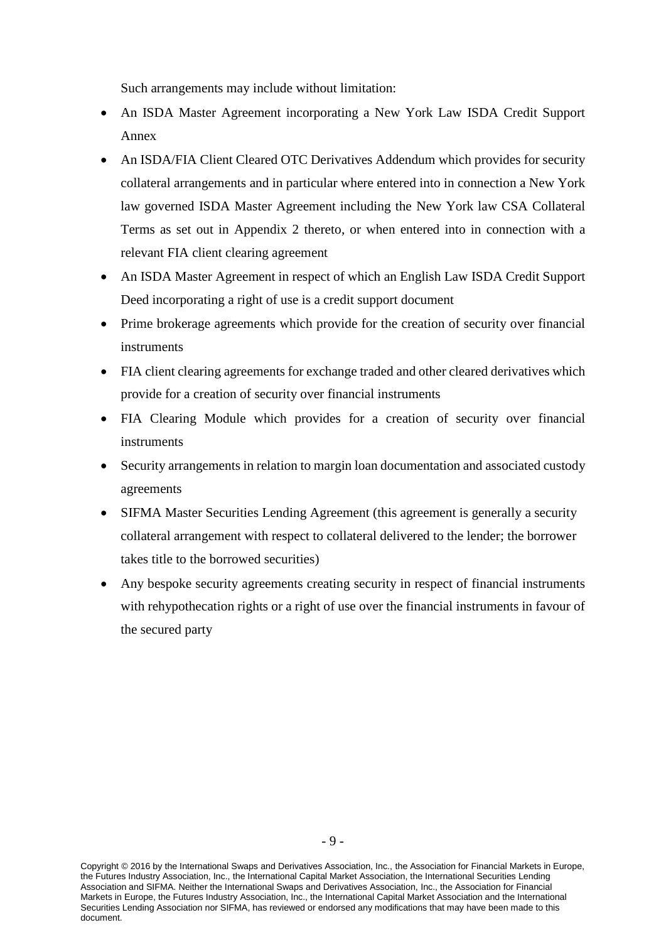Such arrangements may include without limitation:

- An ISDA Master Agreement incorporating a New York Law ISDA Credit Support Annex
- An ISDA/FIA Client Cleared OTC Derivatives Addendum which provides for security collateral arrangements and in particular where entered into in connection a New York law governed ISDA Master Agreement including the New York law CSA Collateral Terms as set out in Appendix 2 thereto, or when entered into in connection with a relevant FIA client clearing agreement
- An ISDA Master Agreement in respect of which an English Law ISDA Credit Support Deed incorporating a right of use is a credit support document
- Prime brokerage agreements which provide for the creation of security over financial instruments
- FIA client clearing agreements for exchange traded and other cleared derivatives which provide for a creation of security over financial instruments
- FIA Clearing Module which provides for a creation of security over financial instruments
- Security arrangements in relation to margin loan documentation and associated custody agreements
- SIFMA Master Securities Lending Agreement (this agreement is generally a security collateral arrangement with respect to collateral delivered to the lender; the borrower takes title to the borrowed securities)
- Any bespoke security agreements creating security in respect of financial instruments with rehypothecation rights or a right of use over the financial instruments in favour of the secured party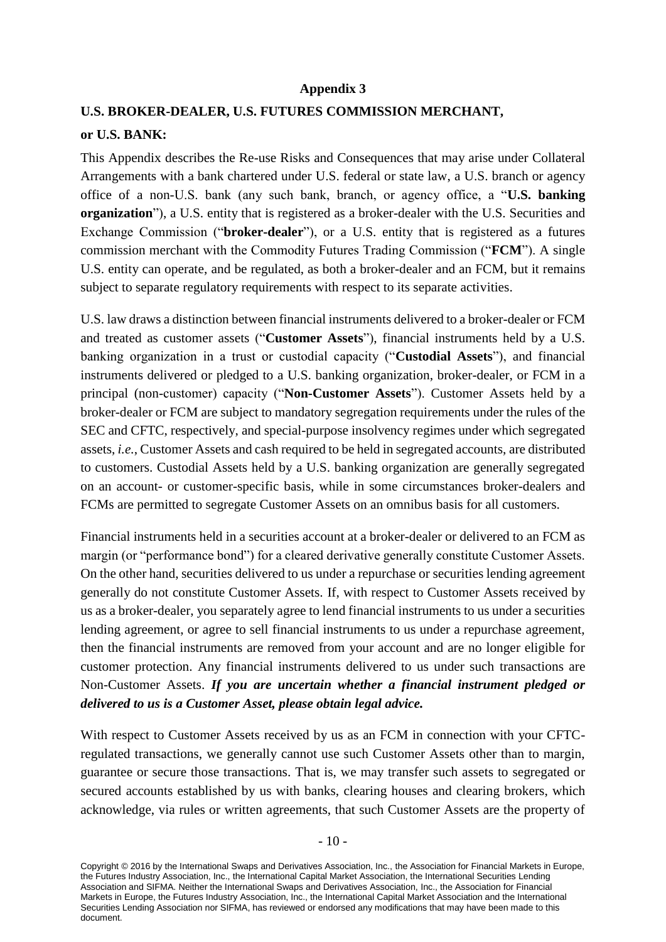#### **Appendix 3**

#### **U.S. BROKER-DEALER, U.S. FUTURES COMMISSION MERCHANT,**

#### **or U.S. BANK:**

This Appendix describes the Re-use Risks and Consequences that may arise under Collateral Arrangements with a bank chartered under U.S. federal or state law, a U.S. branch or agency office of a non-U.S. bank (any such bank, branch, or agency office, a "**U.S. banking organization**"), a U.S. entity that is registered as a broker-dealer with the U.S. Securities and Exchange Commission ("**broker-dealer**"), or a U.S. entity that is registered as a futures commission merchant with the Commodity Futures Trading Commission ("**FCM**"). A single U.S. entity can operate, and be regulated, as both a broker-dealer and an FCM, but it remains subject to separate regulatory requirements with respect to its separate activities.

U.S. law draws a distinction between financial instruments delivered to a broker-dealer or FCM and treated as customer assets ("**Customer Assets**"), financial instruments held by a U.S. banking organization in a trust or custodial capacity ("**Custodial Assets**"), and financial instruments delivered or pledged to a U.S. banking organization, broker-dealer, or FCM in a principal (non-customer) capacity ("**Non-Customer Assets**"). Customer Assets held by a broker-dealer or FCM are subject to mandatory segregation requirements under the rules of the SEC and CFTC, respectively, and special-purpose insolvency regimes under which segregated assets, *i.e.*, Customer Assets and cash required to be held in segregated accounts, are distributed to customers. Custodial Assets held by a U.S. banking organization are generally segregated on an account- or customer-specific basis, while in some circumstances broker-dealers and FCMs are permitted to segregate Customer Assets on an omnibus basis for all customers.

Financial instruments held in a securities account at a broker-dealer or delivered to an FCM as margin (or "performance bond") for a cleared derivative generally constitute Customer Assets. On the other hand, securities delivered to us under a repurchase or securities lending agreement generally do not constitute Customer Assets. If, with respect to Customer Assets received by us as a broker-dealer, you separately agree to lend financial instruments to us under a securities lending agreement, or agree to sell financial instruments to us under a repurchase agreement, then the financial instruments are removed from your account and are no longer eligible for customer protection. Any financial instruments delivered to us under such transactions are Non-Customer Assets. *If you are uncertain whether a financial instrument pledged or delivered to us is a Customer Asset, please obtain legal advice.*

With respect to Customer Assets received by us as an FCM in connection with your CFTCregulated transactions, we generally cannot use such Customer Assets other than to margin, guarantee or secure those transactions. That is, we may transfer such assets to segregated or secured accounts established by us with banks, clearing houses and clearing brokers, which acknowledge, via rules or written agreements, that such Customer Assets are the property of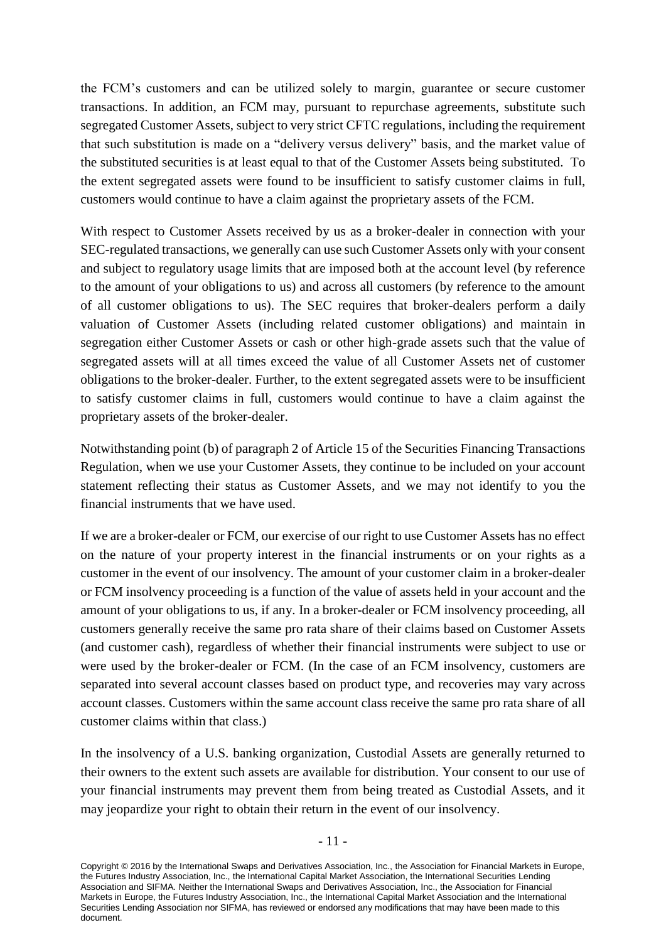the FCM's customers and can be utilized solely to margin, guarantee or secure customer transactions. In addition, an FCM may, pursuant to repurchase agreements, substitute such segregated Customer Assets, subject to very strict CFTC regulations, including the requirement that such substitution is made on a "delivery versus delivery" basis, and the market value of the substituted securities is at least equal to that of the Customer Assets being substituted. To the extent segregated assets were found to be insufficient to satisfy customer claims in full, customers would continue to have a claim against the proprietary assets of the FCM.

With respect to Customer Assets received by us as a broker-dealer in connection with your SEC-regulated transactions, we generally can use such Customer Assets only with your consent and subject to regulatory usage limits that are imposed both at the account level (by reference to the amount of your obligations to us) and across all customers (by reference to the amount of all customer obligations to us). The SEC requires that broker-dealers perform a daily valuation of Customer Assets (including related customer obligations) and maintain in segregation either Customer Assets or cash or other high-grade assets such that the value of segregated assets will at all times exceed the value of all Customer Assets net of customer obligations to the broker-dealer. Further, to the extent segregated assets were to be insufficient to satisfy customer claims in full, customers would continue to have a claim against the proprietary assets of the broker-dealer.

Notwithstanding point (b) of paragraph 2 of Article 15 of the Securities Financing Transactions Regulation, when we use your Customer Assets, they continue to be included on your account statement reflecting their status as Customer Assets, and we may not identify to you the financial instruments that we have used.

If we are a broker-dealer or FCM, our exercise of our right to use Customer Assets has no effect on the nature of your property interest in the financial instruments or on your rights as a customer in the event of our insolvency. The amount of your customer claim in a broker-dealer or FCM insolvency proceeding is a function of the value of assets held in your account and the amount of your obligations to us, if any. In a broker-dealer or FCM insolvency proceeding, all customers generally receive the same pro rata share of their claims based on Customer Assets (and customer cash), regardless of whether their financial instruments were subject to use or were used by the broker-dealer or FCM. (In the case of an FCM insolvency, customers are separated into several account classes based on product type, and recoveries may vary across account classes. Customers within the same account class receive the same pro rata share of all customer claims within that class.)

In the insolvency of a U.S. banking organization, Custodial Assets are generally returned to their owners to the extent such assets are available for distribution. Your consent to our use of your financial instruments may prevent them from being treated as Custodial Assets, and it may jeopardize your right to obtain their return in the event of our insolvency.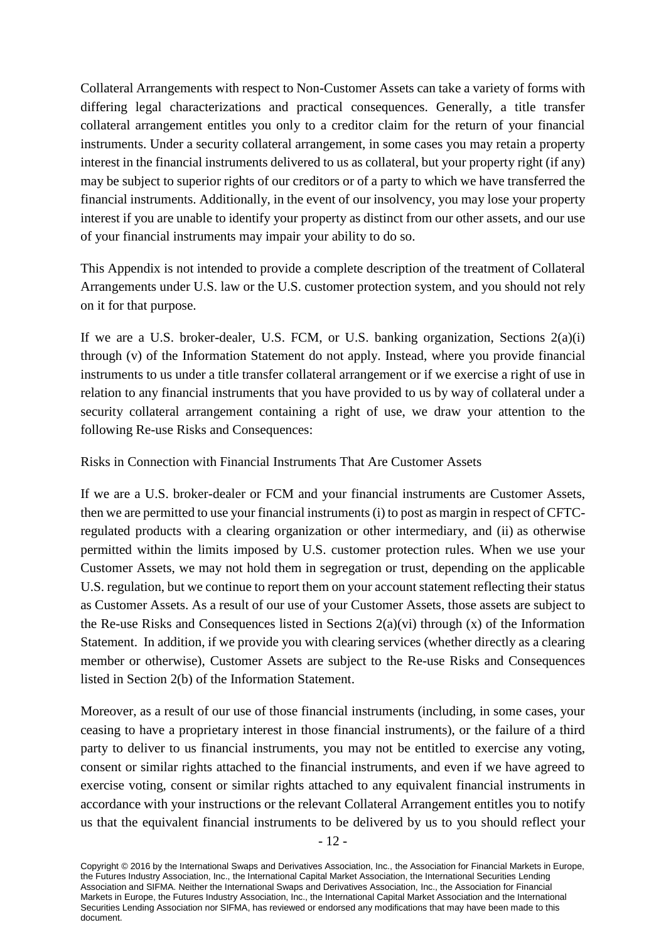Collateral Arrangements with respect to Non-Customer Assets can take a variety of forms with differing legal characterizations and practical consequences. Generally, a title transfer collateral arrangement entitles you only to a creditor claim for the return of your financial instruments. Under a security collateral arrangement, in some cases you may retain a property interest in the financial instruments delivered to us as collateral, but your property right (if any) may be subject to superior rights of our creditors or of a party to which we have transferred the financial instruments. Additionally, in the event of our insolvency, you may lose your property interest if you are unable to identify your property as distinct from our other assets, and our use of your financial instruments may impair your ability to do so.

This Appendix is not intended to provide a complete description of the treatment of Collateral Arrangements under U.S. law or the U.S. customer protection system, and you should not rely on it for that purpose.

If we are a U.S. broker-dealer, U.S. FCM, or U.S. banking organization, Sections 2(a)(i) through (v) of the Information Statement do not apply. Instead, where you provide financial instruments to us under a title transfer collateral arrangement or if we exercise a right of use in relation to any financial instruments that you have provided to us by way of collateral under a security collateral arrangement containing a right of use, we draw your attention to the following Re-use Risks and Consequences:

Risks in Connection with Financial Instruments That Are Customer Assets

If we are a U.S. broker-dealer or FCM and your financial instruments are Customer Assets, then we are permitted to use your financial instruments (i) to post as margin in respect of CFTCregulated products with a clearing organization or other intermediary, and (ii) as otherwise permitted within the limits imposed by U.S. customer protection rules. When we use your Customer Assets, we may not hold them in segregation or trust, depending on the applicable U.S. regulation, but we continue to report them on your account statement reflecting their status as Customer Assets. As a result of our use of your Customer Assets, those assets are subject to the Re-use Risks and Consequences listed in Sections  $2(a)(vi)$  through  $(x)$  of the Information Statement. In addition, if we provide you with clearing services (whether directly as a clearing member or otherwise), Customer Assets are subject to the Re-use Risks and Consequences listed in Section 2(b) of the Information Statement.

Moreover, as a result of our use of those financial instruments (including, in some cases, your ceasing to have a proprietary interest in those financial instruments), or the failure of a third party to deliver to us financial instruments, you may not be entitled to exercise any voting, consent or similar rights attached to the financial instruments, and even if we have agreed to exercise voting, consent or similar rights attached to any equivalent financial instruments in accordance with your instructions or the relevant Collateral Arrangement entitles you to notify us that the equivalent financial instruments to be delivered by us to you should reflect your

Copyright © 2016 by the International Swaps and Derivatives Association, Inc., the Association for Financial Markets in Europe, the Futures Industry Association, Inc., the International Capital Market Association, the International Securities Lending Association and SIFMA. Neither the International Swaps and Derivatives Association, Inc., the Association for Financial Markets in Europe, the Futures Industry Association, Inc., the International Capital Market Association and the International Securities Lending Association nor SIFMA, has reviewed or endorsed any modifications that may have been made to this document.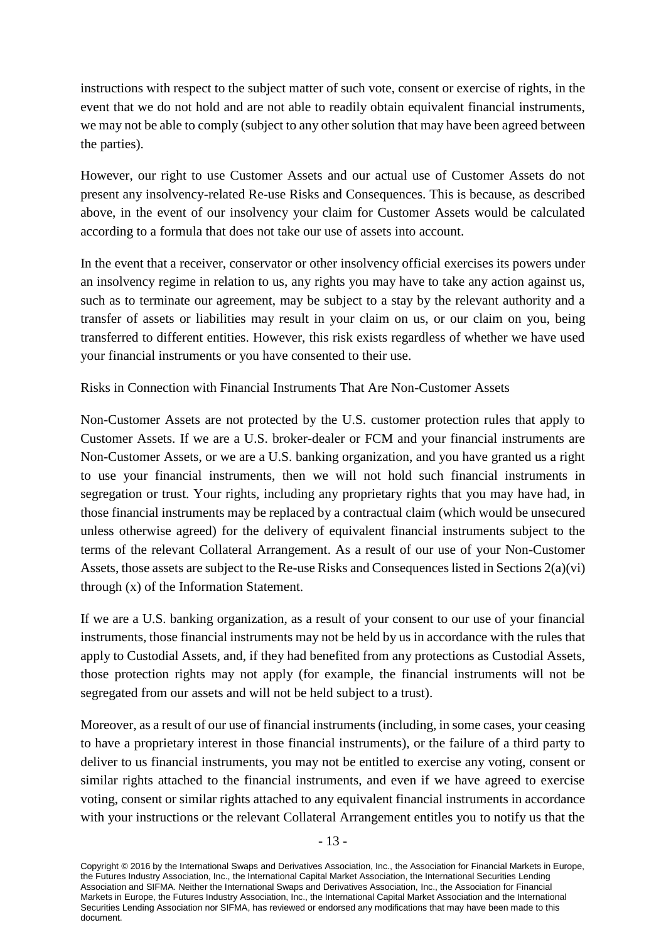instructions with respect to the subject matter of such vote, consent or exercise of rights, in the event that we do not hold and are not able to readily obtain equivalent financial instruments, we may not be able to comply (subject to any other solution that may have been agreed between the parties).

However, our right to use Customer Assets and our actual use of Customer Assets do not present any insolvency-related Re-use Risks and Consequences. This is because, as described above, in the event of our insolvency your claim for Customer Assets would be calculated according to a formula that does not take our use of assets into account.

In the event that a receiver, conservator or other insolvency official exercises its powers under an insolvency regime in relation to us, any rights you may have to take any action against us, such as to terminate our agreement, may be subject to a stay by the relevant authority and a transfer of assets or liabilities may result in your claim on us, or our claim on you, being transferred to different entities. However, this risk exists regardless of whether we have used your financial instruments or you have consented to their use.

Risks in Connection with Financial Instruments That Are Non-Customer Assets

Non-Customer Assets are not protected by the U.S. customer protection rules that apply to Customer Assets. If we are a U.S. broker-dealer or FCM and your financial instruments are Non-Customer Assets, or we are a U.S. banking organization, and you have granted us a right to use your financial instruments, then we will not hold such financial instruments in segregation or trust. Your rights, including any proprietary rights that you may have had, in those financial instruments may be replaced by a contractual claim (which would be unsecured unless otherwise agreed) for the delivery of equivalent financial instruments subject to the terms of the relevant Collateral Arrangement. As a result of our use of your Non-Customer Assets, those assets are subject to the Re-use Risks and Consequences listed in Sections 2(a)(vi) through (x) of the Information Statement.

If we are a U.S. banking organization, as a result of your consent to our use of your financial instruments, those financial instruments may not be held by us in accordance with the rules that apply to Custodial Assets, and, if they had benefited from any protections as Custodial Assets, those protection rights may not apply (for example, the financial instruments will not be segregated from our assets and will not be held subject to a trust).

Moreover, as a result of our use of financial instruments (including, in some cases, your ceasing to have a proprietary interest in those financial instruments), or the failure of a third party to deliver to us financial instruments, you may not be entitled to exercise any voting, consent or similar rights attached to the financial instruments, and even if we have agreed to exercise voting, consent or similar rights attached to any equivalent financial instruments in accordance with your instructions or the relevant Collateral Arrangement entitles you to notify us that the

Copyright © 2016 by the International Swaps and Derivatives Association, Inc., the Association for Financial Markets in Europe, the Futures Industry Association, Inc., the International Capital Market Association, the International Securities Lending Association and SIFMA. Neither the International Swaps and Derivatives Association, Inc., the Association for Financial Markets in Europe, the Futures Industry Association, Inc., the International Capital Market Association and the International Securities Lending Association nor SIFMA, has reviewed or endorsed any modifications that may have been made to this document.